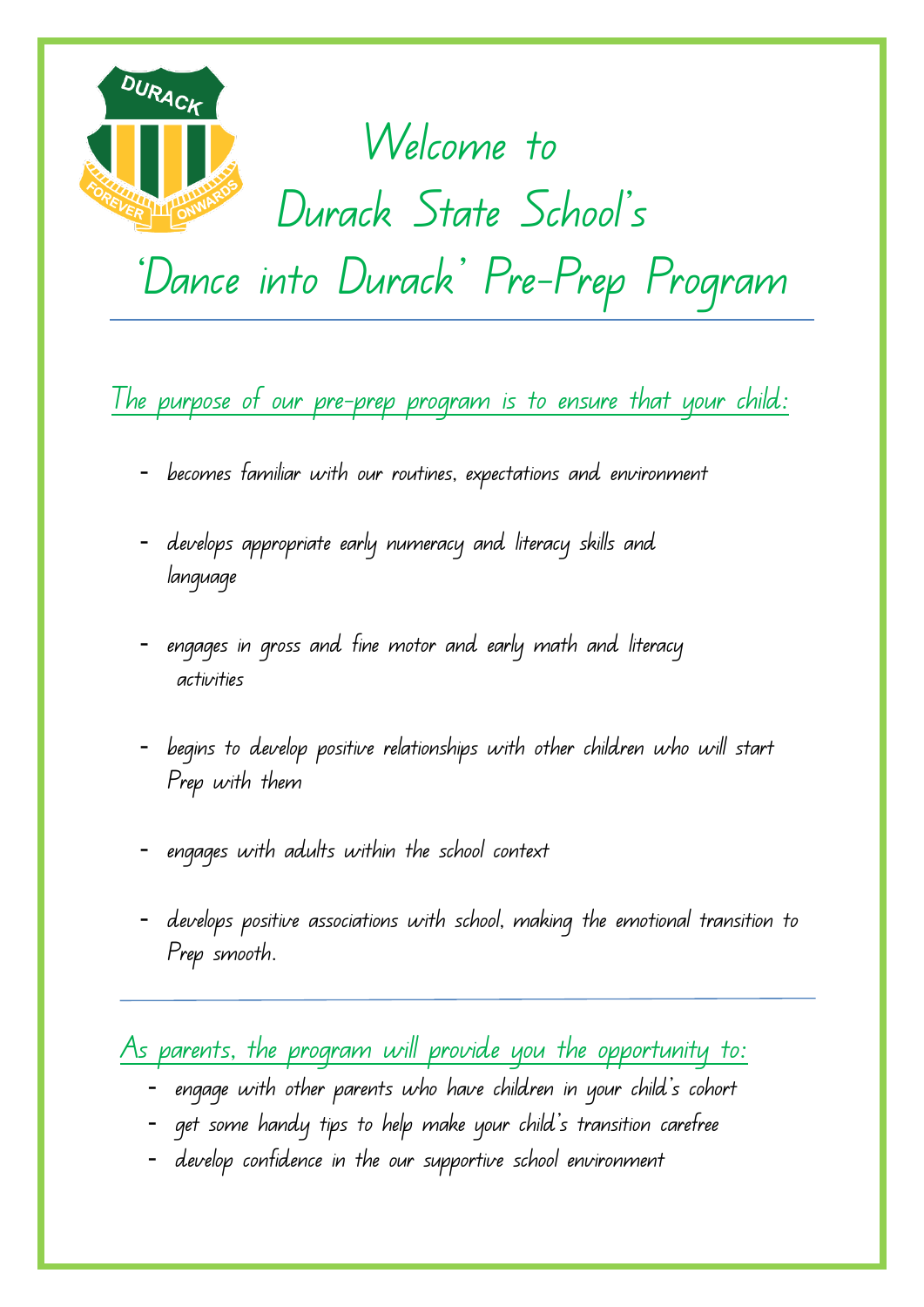

## Welcome to

## Durack State School's

'Dance into Durack' Pre-Prep Program

The purpose of our pre-prep program is to ensure that your child:

- becomes familiar with our routines, expectations and environment
- develops appropriate early numeracy and literacy skills and language
- engages in gross and fine motor and early math and literacy activities
- begins to develop positive relationships with other children who will start Prep with them
- engages with adults within the school context
- develops positive associations with school, making the emotional transition to Prep smooth.

As parents, the program will provide you the opportunity to:

- engage with other parents who have children in your child's cohort
- get some handy tips to help make your child's transition carefree
- develop confidence in the our supportive school environment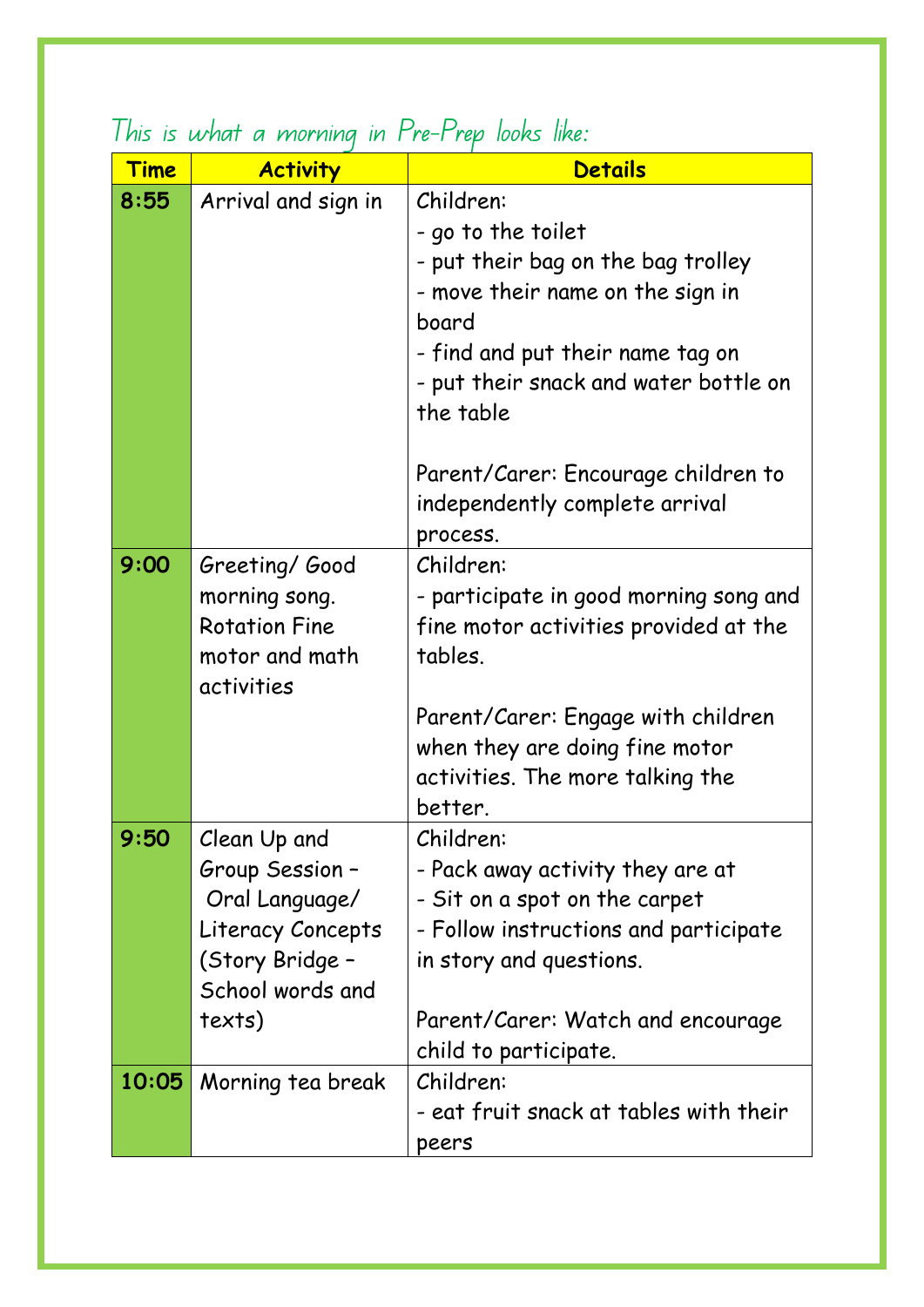| <u>Time</u> | <b>Activity</b>      | <b>Details</b>                         |
|-------------|----------------------|----------------------------------------|
| 8:55        | Arrival and sign in  | Children:                              |
|             |                      | - go to the toilet                     |
|             |                      | - put their bag on the bag trolley     |
|             |                      | - move their name on the sign in       |
|             |                      | board                                  |
|             |                      | - find and put their name tag on       |
|             |                      | - put their snack and water bottle on  |
|             |                      | the table                              |
|             |                      | Parent/Carer: Encourage children to    |
|             |                      | independently complete arrival         |
|             |                      | process.                               |
| 9:00        | Greeting/Good        | Children:                              |
|             | morning song.        | - participate in good morning song and |
|             | <b>Rotation Fine</b> | fine motor activities provided at the  |
|             | motor and math       | tables.                                |
|             | activities           |                                        |
|             |                      | Parent/Carer: Engage with children     |
|             |                      | when they are doing fine motor         |
|             |                      | activities. The more talking the       |
|             |                      | better.                                |
| 9:50        | Clean Up and         | Children:                              |
|             | Group Session -      | - Pack away activity they are at       |
|             | Oral Language/       | - Sit on a spot on the carpet          |
|             | Literacy Concepts    | - Follow instructions and participate  |
|             | (Story Bridge -      | in story and questions.                |
|             | School words and     |                                        |
|             | texts)               | Parent/Carer: Watch and encourage      |
|             |                      | child to participate.                  |
| 10:05       | Morning tea break    | Children:                              |
|             |                      | - eat fruit snack at tables with their |
|             |                      | peers                                  |

## This is what a morning in Pre-Prep looks like: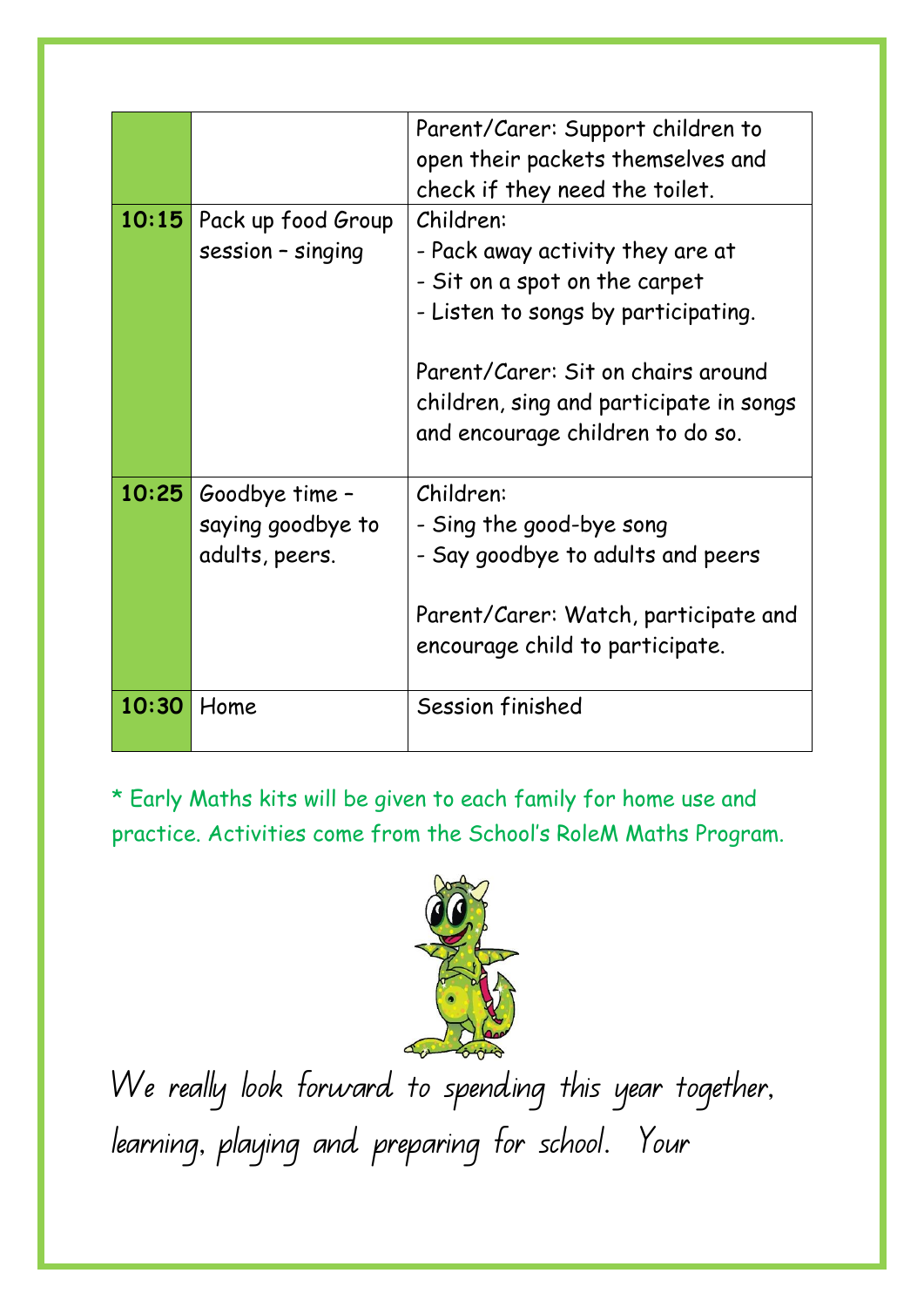|       |                                                       | Parent/Carer: Support children to<br>open their packets themselves and<br>check if they need the toilet.                                                                                                                                   |
|-------|-------------------------------------------------------|--------------------------------------------------------------------------------------------------------------------------------------------------------------------------------------------------------------------------------------------|
| 10:15 | Pack up food Group<br>session - singing               | Children:<br>- Pack away activity they are at<br>- Sit on a spot on the carpet<br>- Listen to songs by participating.<br>Parent/Carer: Sit on chairs around<br>children, sing and participate in songs<br>and encourage children to do so. |
| 10:25 | Goodbye time -<br>saying goodbye to<br>adults, peers. | Children:<br>- Sing the good-bye song<br>- Say goodbye to adults and peers<br>Parent/Carer: Watch, participate and<br>encourage child to participate.                                                                                      |
| 10:30 | Home                                                  | Session finished                                                                                                                                                                                                                           |

\* Early Maths kits will be given to each family for home use and practice. Activities come from the School's RoleM Maths Program.



We really look forward to spending this year together, learning, playing and preparing for school. Your